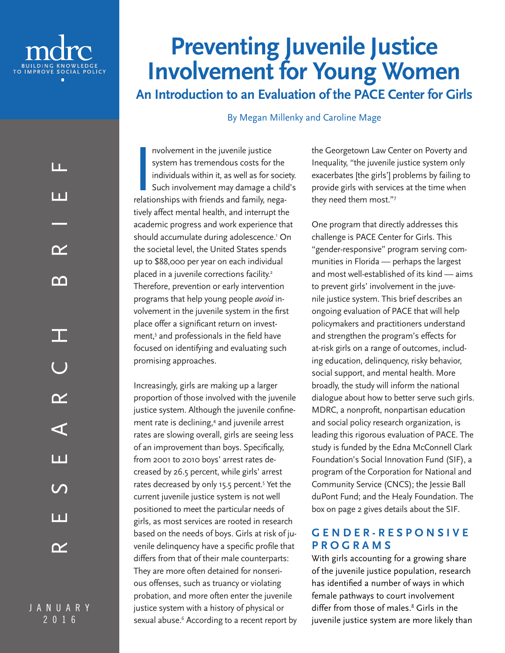

# **Preventing Juvenile Justice Involvement for Young Women An Introduction to an Evaluation of the PACE Center for Girls**

By Megan Millenky and Caroline Mage

J A N U A R Y 2016

nvolvement in the juvenile justice<br>system has tremendous costs for the<br>individuals within it, as well as for socie<br>Such involvement may damage a chile<br>relationships with friends and family, neganvolvement in the juvenile justice system has tremendous costs for the individuals within it, as well as for society. Such involvement may damage a child's tively affect mental health, and interrupt the academic progress and work experience that should accumulate during adolescence.1 On the societal level, the United States spends up to \$88,000 per year on each individual placed in a juvenile corrections facility.<sup>2</sup> Therefore, prevention or early intervention programs that help young people *avoid* involvement in the juvenile system in the first place offer a significant return on investment,3 and professionals in the field have focused on identifying and evaluating such promising approaches.

Increasingly, girls are making up a larger proportion of those involved with the juvenile justice system. Although the juvenile confinement rate is declining,<sup>4</sup> and juvenile arrest rates are slowing overall, girls are seeing less of an improvement than boys. Specifically, from 2001 to 2010 boys' arrest rates decreased by 26.5 percent, while girls' arrest rates decreased by only 15.5 percent.<sup>5</sup> Yet the current juvenile justice system is not well positioned to meet the particular needs of girls, as most services are rooted in research based on the needs of boys. Girls at risk of juvenile delinquency have a specific profile that differs from that of their male counterparts: They are more often detained for nonserious offenses, such as truancy or violating probation, and more often enter the juvenile justice system with a history of physical or sexual abuse.<sup>6</sup> According to a recent report by the Georgetown Law Center on Poverty and Inequality, "the juvenile justice system only exacerbates [the girls'] problems by failing to provide girls with services at the time when they need them most."7

One program that directly addresses this challenge is PACE Center for Girls. This "gender-responsive" program serving communities in Florida — perhaps the largest and most well-established of its kind — aims to prevent girls' involvement in the juvenile justice system. This brief describes an ongoing evaluation of PACE that will help policymakers and practitioners understand and strengthen the program's effects for at-risk girls on a range of outcomes, including education, delinquency, risky behavior, social support, and mental health. More broadly, the study will inform the national dialogue about how to better serve such girls. MDRC, a nonprofit, nonpartisan education and social policy research organization, is leading this rigorous evaluation of PACE. The study is funded by the Edna McConnell Clark Foundation's Social Innovation Fund (SIF), a program of the Corporation for National and Community Service (CNCS); the Jessie Ball duPont Fund; and the Healy Foundation. The box on page 2 gives details about the SIF.

#### **G E N D E R - R E S P O N S I V E PROGRAMS**

With girls accounting for a growing share of the juvenile justice population, research has identified a number of ways in which female pathways to court involvement differ from those of males.8 Girls in the juvenile justice system are more likely than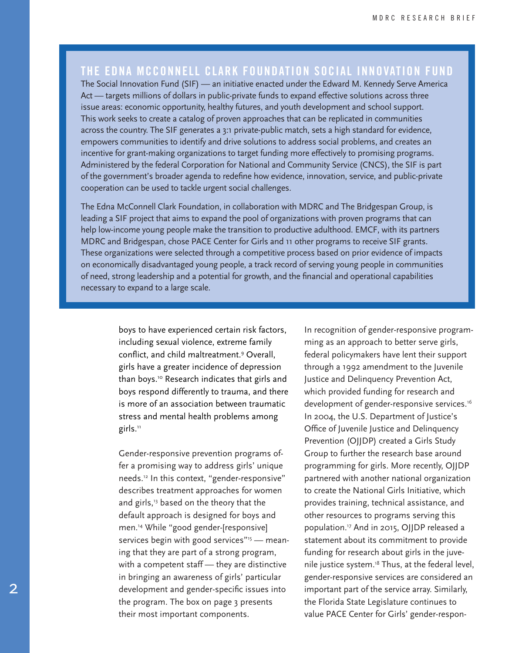### **THE EDNA MCCONNELL CLARK FOUNDATION SOCIAL INNOVATION FUND**

The Social Innovation Fund (SIF) — an initiative enacted under the Edward M. Kennedy Serve America Act — targets millions of dollars in public-private funds to expand effective solutions across three issue areas: economic opportunity, healthy futures, and youth development and school support. This work seeks to create a catalog of proven approaches that can be replicated in communities across the country. The SIF generates a 3:1 private-public match, sets a high standard for evidence, empowers communities to identify and drive solutions to address social problems, and creates an incentive for grant-making organizations to target funding more effectively to promising programs. Administered by the federal Corporation for National and Community Service (CNCS), the SIF is part of the government's broader agenda to redefine how evidence, innovation, service, and public-private cooperation can be used to tackle urgent social challenges.

The Edna McConnell Clark Foundation, in collaboration with MDRC and The Bridgespan Group, is leading a SIF project that aims to expand the pool of organizations with proven programs that can help low-income young people make the transition to productive adulthood. EMCF, with its partners MDRC and Bridgespan, chose PACE Center for Girls and 11 other programs to receive SIF grants. These organizations were selected through a competitive process based on prior evidence of impacts on economically disadvantaged young people, a track record of serving young people in communities of need, strong leadership and a potential for growth, and the financial and operational capabilities necessary to expand to a large scale.

> boys to have experienced certain risk factors, including sexual violence, extreme family conflict, and child maltreatment.9 Overall, girls have a greater incidence of depression than boys.10 Research indicates that girls and boys respond differently to trauma, and there is more of an association between traumatic stress and mental health problems among girls.<sup>11</sup>

> Gender-responsive prevention programs offer a promising way to address girls' unique needs.12 In this context, "gender-responsive" describes treatment approaches for women and girls,<sup>13</sup> based on the theory that the default approach is designed for boys and men.14 While "good gender-[responsive] services begin with good services" $15$  - meaning that they are part of a strong program, with a competent staff — they are distinctive in bringing an awareness of girls' particular development and gender-specific issues into the program. The box on page 3 presents their most important components.

In recognition of gender-responsive programming as an approach to better serve girls, federal policymakers have lent their support through a 1992 amendment to the Juvenile Justice and Delinquency Prevention Act, which provided funding for research and development of gender-responsive services.<sup>16</sup> In 2004, the U.S. Department of Justice's Office of Juvenile Justice and Delinquency Prevention (OJJDP) created a Girls Study Group to further the research base around programming for girls. More recently, OJJDP partnered with another national organization to create the National Girls Initiative, which provides training, technical assistance, and other resources to programs serving this population.17 And in 2015, OJJDP released a statement about its commitment to provide funding for research about girls in the juvenile justice system.<sup>18</sup> Thus, at the federal level, gender-responsive services are considered an important part of the service array. Similarly, the Florida State Legislature continues to value PACE Center for Girls' gender-respon-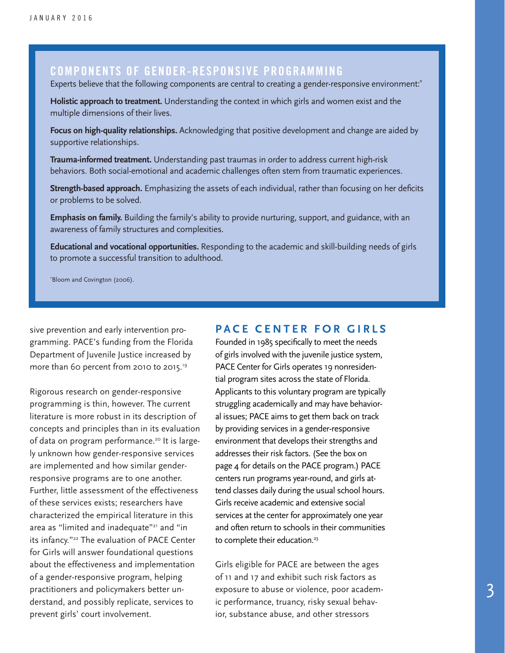#### **COMPONENTS OF GENDER-RESPONSIVE PROGRAMMING**

Experts believe that the following components are central to creating a gender-responsive environment:**\***

**Holistic approach to treatment.** Understanding the context in which girls and women exist and the multiple dimensions of their lives.

**Focus on high-quality relationships.** Acknowledging that positive development and change are aided by supportive relationships.

**Trauma-informed treatment.** Understanding past traumas in order to address current high-risk behaviors. Both social-emotional and academic challenges often stem from traumatic experiences.

**Strength-based approach.** Emphasizing the assets of each individual, rather than focusing on her deficits or problems to be solved.

**Emphasis on family.** Building the family's ability to provide nurturing, support, and guidance, with an awareness of family structures and complexities.

**Educational and vocational opportunities.** Responding to the academic and skill-building needs of girls to promote a successful transition to adulthood.

\* Bloom and Covington (2006).

sive prevention and early intervention programming. PACE's funding from the Florida Department of Juvenile Justice increased by more than 60 percent from 2010 to 2015.<sup>19</sup>

Rigorous research on gender-responsive programming is thin, however. The current literature is more robust in its description of concepts and principles than in its evaluation of data on program performance.<sup>20</sup> It is largely unknown how gender-responsive services are implemented and how similar genderresponsive programs are to one another. Further, little assessment of the effectiveness of these services exists; researchers have characterized the empirical literature in this area as "limited and inadequate"21 and "in its infancy."<sup>22</sup> The evaluation of PACE Center for Girls will answer foundational questions about the effectiveness and implementation of a gender-responsive program, helping practitioners and policymakers better understand, and possibly replicate, services to prevent girls' court involvement.

#### **PACE CENTER FOR GIRLS**

Founded in 1985 specifically to meet the needs of girls involved with the juvenile justice system, PACE Center for Girls operates 19 nonresidential program sites across the state of Florida. Applicants to this voluntary program are typically struggling academically and may have behavioral issues; PACE aims to get them back on track by providing services in a gender-responsive environment that develops their strengths and addresses their risk factors. (See the box on page 4 for details on the PACE program.) PACE centers run programs year-round, and girls attend classes daily during the usual school hours. Girls receive academic and extensive social services at the center for approximately one year and often return to schools in their communities to complete their education.<sup>23</sup>

Girls eligible for PACE are between the ages of 11 and 17 and exhibit such risk factors as exposure to abuse or violence, poor academic performance, truancy, risky sexual behavior, substance abuse, and other stressors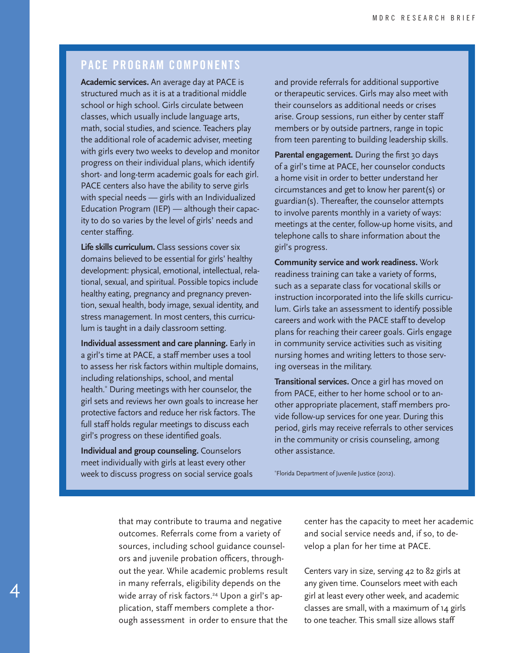### **PACE PROGRAM COMPONENTS**

**Academic services.** An average day at PACE is structured much as it is at a traditional middle school or high school. Girls circulate between classes, which usually include language arts, math, social studies, and science. Teachers play the additional role of academic adviser, meeting with girls every two weeks to develop and monitor progress on their individual plans, which identify short- and long-term academic goals for each girl. PACE centers also have the ability to serve girls with special needs — girls with an Individualized Education Program (IEP) — although their capacity to do so varies by the level of girls' needs and center staffing.

**Life skills curriculum.** Class sessions cover six domains believed to be essential for girls' healthy development: physical, emotional, intellectual, relational, sexual, and spiritual. Possible topics include healthy eating, pregnancy and pregnancy prevention, sexual health, body image, sexual identity, and stress management. In most centers, this curriculum is taught in a daily classroom setting.

**Individual assessment and care planning.** Early in a girl's time at PACE, a staff member uses a tool to assess her risk factors within multiple domains, including relationships, school, and mental health.\* During meetings with her counselor, the girl sets and reviews her own goals to increase her protective factors and reduce her risk factors. The full staff holds regular meetings to discuss each girl's progress on these identified goals.

**Individual and group counseling.** Counselors meet individually with girls at least every other week to discuss progress on social service goals

4

and provide referrals for additional supportive or therapeutic services. Girls may also meet with their counselors as additional needs or crises arise. Group sessions, run either by center staff members or by outside partners, range in topic from teen parenting to building leadership skills.

Parental engagement. During the first 30 days of a girl's time at PACE, her counselor conducts a home visit in order to better understand her circumstances and get to know her parent(s) or guardian(s). Thereafter, the counselor attempts to involve parents monthly in a variety of ways: meetings at the center, follow-up home visits, and telephone calls to share information about the girl's progress.

**Community service and work readiness.** Work readiness training can take a variety of forms, such as a separate class for vocational skills or instruction incorporated into the life skills curriculum. Girls take an assessment to identify possible careers and work with the PACE staff to develop plans for reaching their career goals. Girls engage in community service activities such as visiting nursing homes and writing letters to those serving overseas in the military.

**Transitional services.** Once a girl has moved on from PACE, either to her home school or to another appropriate placement, staff members provide follow-up services for one year. During this period, girls may receive referrals to other services in the community or crisis counseling, among other assistance.

\* Florida Department of Juvenile Justice (2012).

that may contribute to trauma and negative outcomes. Referrals come from a variety of sources, including school guidance counselors and juvenile probation officers, throughout the year. While academic problems result in many referrals, eligibility depends on the wide array of risk factors.<sup>24</sup> Upon a girl's application, staff members complete a thorough assessment in order to ensure that the

center has the capacity to meet her academic and social service needs and, if so, to develop a plan for her time at PACE.

Centers vary in size, serving 42 to 82 girls at any given time. Counselors meet with each girl at least every other week, and academic classes are small, with a maximum of 14 girls to one teacher. This small size allows staff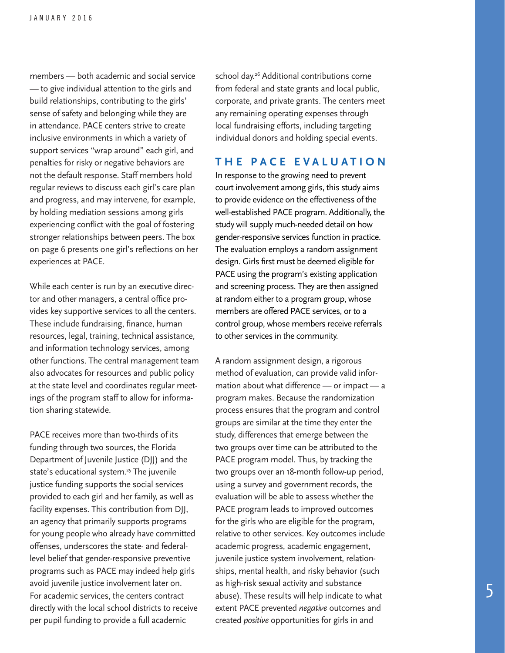members — both academic and social service — to give individual attention to the girls and build relationships, contributing to the girls' sense of safety and belonging while they are in attendance. PACE centers strive to create inclusive environments in which a variety of support services "wrap around" each girl, and penalties for risky or negative behaviors are not the default response. Staff members hold regular reviews to discuss each girl's care plan and progress, and may intervene, for example, by holding mediation sessions among girls experiencing conflict with the goal of fostering stronger relationships between peers. The box on page 6 presents one girl's reflections on her experiences at PACE.

While each center is run by an executive director and other managers, a central office provides key supportive services to all the centers. These include fundraising, finance, human resources, legal, training, technical assistance, and information technology services, among other functions. The central management team also advocates for resources and public policy at the state level and coordinates regular meetings of the program staff to allow for information sharing statewide.

PACE receives more than two-thirds of its funding through two sources, the Florida Department of Juvenile Justice (DJJ) and the state's educational system.<sup>25</sup> The juvenile justice funding supports the social services provided to each girl and her family, as well as facility expenses. This contribution from DJJ, an agency that primarily supports programs for young people who already have committed offenses, underscores the state- and federallevel belief that gender-responsive preventive programs such as PACE may indeed help girls avoid juvenile justice involvement later on. For academic services, the centers contract directly with the local school districts to receive per pupil funding to provide a full academic

school day.<sup>26</sup> Additional contributions come from federal and state grants and local public, corporate, and private grants. The centers meet any remaining operating expenses through local fundraising efforts, including targeting individual donors and holding special events.

#### **THE PACE EVALUATION**

In response to the growing need to prevent court involvement among girls, this study aims to provide evidence on the effectiveness of the well-established PACE program. Additionally, the study will supply much-needed detail on how gender-responsive services function in practice. The evaluation employs a random assignment design. Girls first must be deemed eligible for PACE using the program's existing application and screening process. They are then assigned at random either to a program group, whose members are offered PACE services, or to a control group, whose members receive referrals to other services in the community.

A random assignment design, a rigorous method of evaluation, can provide valid information about what difference — or impact — a program makes. Because the randomization process ensures that the program and control groups are similar at the time they enter the study, differences that emerge between the two groups over time can be attributed to the PACE program model. Thus, by tracking the two groups over an 18-month follow-up period, using a survey and government records, the evaluation will be able to assess whether the PACE program leads to improved outcomes for the girls who are eligible for the program, relative to other services. Key outcomes include academic progress, academic engagement, juvenile justice system involvement, relationships, mental health, and risky behavior (such as high-risk sexual activity and substance abuse). These results will help indicate to what extent PACE prevented *negative* outcomes and created *positive* opportunities for girls in and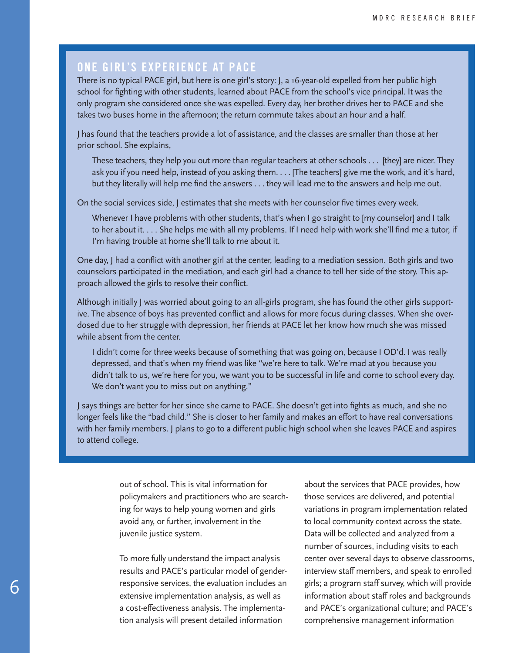#### **ONE GIRL'S EXPERIENCE AT PACE**

There is no typical PACE girl, but here is one girl's story: J, a 16-year-old expelled from her public high school for fighting with other students, learned about PACE from the school's vice principal. It was the only program she considered once she was expelled. Every day, her brother drives her to PACE and she takes two buses home in the afternoon; the return commute takes about an hour and a half.

J has found that the teachers provide a lot of assistance, and the classes are smaller than those at her prior school. She explains,

These teachers, they help you out more than regular teachers at other schools . . . [they] are nicer. They ask you if you need help, instead of you asking them. . . . [The teachers] give me the work, and it's hard, but they literally will help me find the answers . . . they will lead me to the answers and help me out.

On the social services side, J estimates that she meets with her counselor five times every week.

Whenever I have problems with other students, that's when I go straight to [my counselor] and I talk to her about it. . . . She helps me with all my problems. If I need help with work she'll find me a tutor, if I'm having trouble at home she'll talk to me about it.

One day, J had a conflict with another girl at the center, leading to a mediation session. Both girls and two counselors participated in the mediation, and each girl had a chance to tell her side of the story. This approach allowed the girls to resolve their conflict.

Although initially J was worried about going to an all-girls program, she has found the other girls supportive. The absence of boys has prevented conflict and allows for more focus during classes. When she overdosed due to her struggle with depression, her friends at PACE let her know how much she was missed while absent from the center.

I didn't come for three weeks because of something that was going on, because I OD'd. I was really depressed, and that's when my friend was like "we're here to talk. We're mad at you because you didn't talk to us, we're here for you, we want you to be successful in life and come to school every day. We don't want you to miss out on anything."

J says things are better for her since she came to PACE. She doesn't get into fights as much, and she no longer feels like the "bad child." She is closer to her family and makes an effort to have real conversations with her family members. J plans to go to a different public high school when she leaves PACE and aspires to attend college.

> out of school. This is vital information for policymakers and practitioners who are searching for ways to help young women and girls avoid any, or further, involvement in the juvenile justice system.

> To more fully understand the impact analysis results and PACE's particular model of genderresponsive services, the evaluation includes an extensive implementation analysis, as well as a cost-effectiveness analysis. The implementation analysis will present detailed information

about the services that PACE provides, how those services are delivered, and potential variations in program implementation related to local community context across the state. Data will be collected and analyzed from a number of sources, including visits to each center over several days to observe classrooms, interview staff members, and speak to enrolled girls; a program staff survey, which will provide information about staff roles and backgrounds and PACE's organizational culture; and PACE's comprehensive management information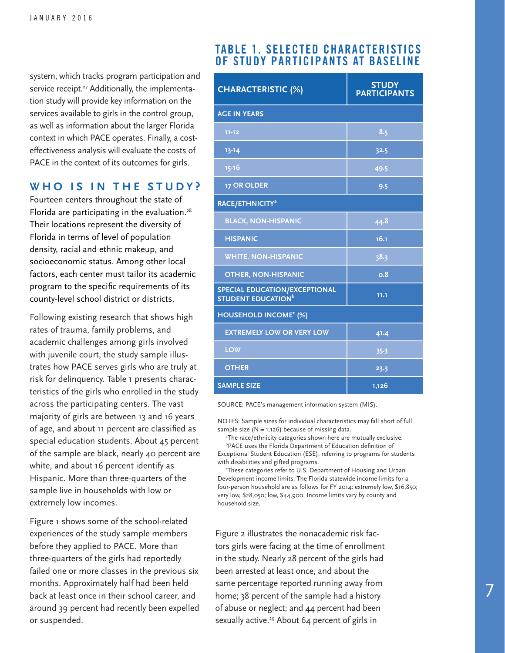system, which tracks program participation and service receipt.<sup>27</sup> Additionally, the implementation study will provide key information on the services available to girls in the control group, as well as information about the larger Florida context in which PACE operates. Finally, a costeffectiveness analysis will evaluate the costs of PACE in the context of its outcomes for girls.

#### **WHO IS IN THE STUDY?**

Fourteen centers throughout the state of Florida are participating in the evaluation.<sup>28</sup> Their locations represent the diversity of Florida in terms of level of population density, racial and ethnic makeup, and socioeconomic status. Among other local factors, each center must tailor its academic program to the specific requirements of its county-level school district or districts.

Following existing research that shows high rates of trauma, family problems, and academic challenges among girls involved with juvenile court, the study sample illustrates how PACE serves girls who are truly at risk for delinquency. Table 1 presents characteristics of the girls who enrolled in the study across the participating centers. The vast majority of girls are between 13 and 16 years of age, and about 11 percent are classified as special education students. About 45 percent of the sample are black, nearly 40 percent are white, and about 16 percent identify as Hispanic. More than three-quarters of the sample live in households with low or extremely low incomes.

Figure 1 shows some of the school-related experiences of the study sample members before they applied to PACE. More than three-quarters of the girls had reportedly failed one or more classes in the previous six months. Approximately half had been held back at least once in their school career, and around 39 percent had recently been expelled or suspended.

#### **TABLE 1. SELECTED CHARACTERISTICS OF STUDY PARTICIPANTS AT BASELINE**

| <b>CHARACTERISTIC (%)</b>                                             | <b>STUDY</b><br><b>PARTICIPANTS</b> |
|-----------------------------------------------------------------------|-------------------------------------|
| <b>AGE IN YEARS</b>                                                   |                                     |
| $11 - 12$                                                             | 8.5                                 |
| $13 - 14$                                                             | 32.5                                |
| $15 - 16$                                                             | 49.5                                |
| <b>17 OR OLDER</b>                                                    | 9.5                                 |
| RACE/ETHNICITY <sup>a</sup>                                           |                                     |
| <b>BLACK, NON-HISPANIC</b>                                            | 44.8                                |
| <b>HISPANIC</b>                                                       | 16.1                                |
| <b>WHITE. NON-HISPANIC</b>                                            | 38.3                                |
| <b>OTHER, NON-HISPANIC</b>                                            | 0.8                                 |
| SPECIAL EDUCATION/EXCEPTIONAL<br><b>STUDENT EDUCATION<sup>b</sup></b> | 11.1                                |
| HOUSEHOLD INCOME <sup>c</sup> (%)                                     |                                     |
| <b>EXTREMELY LOW OR VERY LOW</b>                                      | 41.4                                |
| <b>LOW</b>                                                            | 35.3                                |
| <b>OTHER</b>                                                          | 23.3                                |
| <b>SAMPLE SIZE</b>                                                    | 1,126                               |

SOURCE: PACE's management information system (MIS).

NOTES: Sample sizes for individual characteristics may fall short of full sample size ( $N = 1,126$ ) because of missing data.

 a The race/ethnicity categories shown here are mutually exclusive. b PACE uses the Florida Department of Education definition of

Exceptional Student Education (ESE), referring to programs for students with disabilities and gifted programs.

 c These categories refer to U.S. Department of Housing and Urban Development income limits. The Florida statewide income limits for a four-person household are as follows for FY 2014: extremely low, \$16,850; very low, \$28,050; low, \$44,900. Income limits vary by county and household size.

Figure 2 illustrates the nonacademic risk factors girls were facing at the time of enrollment in the study. Nearly 28 percent of the girls had been arrested at least once, and about the same percentage reported running away from home; 38 percent of the sample had a history of abuse or neglect; and 44 percent had been sexually active.<sup>29</sup> About  $64$  percent of girls in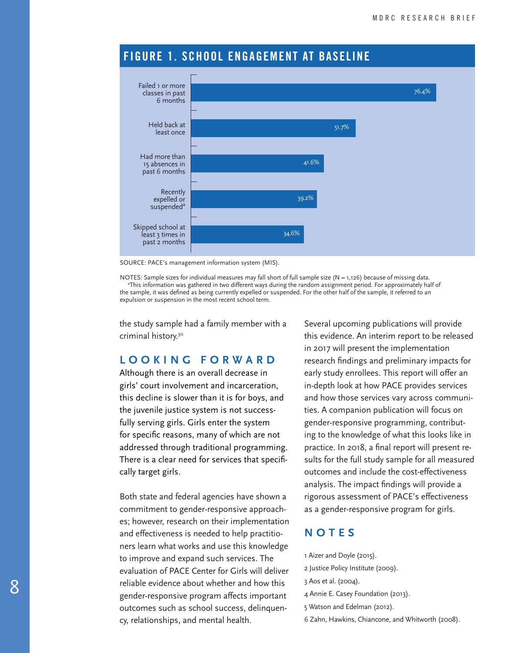

#### **FIGURE 1. SCHOOL ENGAGEMENT AT BASELINE**

SOURCE: PACE's management information system (MIS).

NOTES: Sample sizes for individual measures may fall short of full sample size  $(N = 1,126)$  because of missing data. a This information was gathered in two different ways during the random assignment period. For approximately half of the sample, it was defined as being currently expelled or suspended. For the other half of the sample, it referred to an expulsion or suspension in the most recent school term.

the study sample had a family member with a criminal history.30

#### **LOOKING FORWARD**

Although there is an overall decrease in girls' court involvement and incarceration, this decline is slower than it is for boys, and the juvenile justice system is not successfully serving girls. Girls enter the system for specific reasons, many of which are not addressed through traditional programming. There is a clear need for services that specifically target girls.

Both state and federal agencies have shown a commitment to gender-responsive approaches; however, research on their implementation and effectiveness is needed to help practitioners learn what works and use this knowledge to improve and expand such services. The evaluation of PACE Center for Girls will deliver reliable evidence about whether and how this gender-responsive program affects important outcomes such as school success, delinquency, relationships, and mental health.

Several upcoming publications will provide this evidence. An interim report to be released in 2017 will present the implementation research findings and preliminary impacts for early study enrollees. This report will offer an in-depth look at how PACE provides services and how those services vary across communities. A companion publication will focus on gender-responsive programming, contributing to the knowledge of what this looks like in practice. In 2018, a final report will present results for the full study sample for all measured outcomes and include the cost-effectiveness analysis. The impact findings will provide a rigorous assessment of PACE's effectiveness as a gender-responsive program for girls.

#### **NOTES**

- 1 Aizer and Doyle (2015).
- 2 Justice Policy Institute (2009).
- 3 Aos et al. (2004).
- 4 Annie E. Casey Foundation (2013).
- 5 Watson and Edelman (2012).
- 6 Zahn, Hawkins, Chiancone, and Whitworth (2008).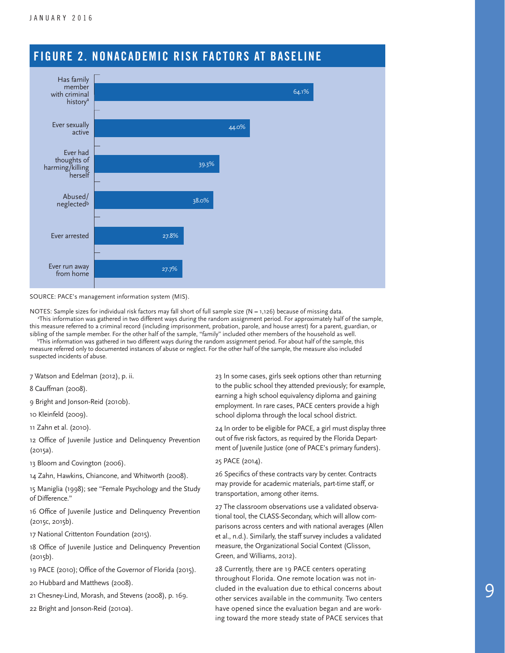

### **FIGURE 2. NONACADEMIC RISK FACTORS AT BASELINE**

#### SOURCE: PACE's management information system (MIS).

NOTES: Sample sizes for individual risk factors may fall short of full sample size (N = 1,126) because of missing data. a This information was gathered in two different ways during the random assignment period. For approximately half of the sample, this measure referred to a criminal record (including imprisonment, probation, parole, and house arrest) for a parent, guardian, or sibling of the sample member. For the other half of the sample, "family" included other members of the household as well.

 b This information was gathered in two different ways during the random assignment period. For about half of the sample, this measure referred only to documented instances of abuse or neglect. For the other half of the sample, the measure also included suspected incidents of abuse.

7 Watson and Edelman (2012), p. ii.

8 Cauffman (2008).

9 Bright and Jonson-Reid (2010b).

10 Kleinfeld (2009).

11 Zahn et al. (2010).

12 Office of Juvenile Justice and Delinquency Prevention (2015a).

13 Bloom and Covington (2006).

14 Zahn, Hawkins, Chiancone, and Whitworth (2008).

15 Maniglia (1998); see "Female Psychology and the Study of Difference."

16 Office of Juvenile Justice and Delinquency Prevention (2015c, 2015b).

17 National Crittenton Foundation (2015).

18 Office of Juvenile Justice and Delinquency Prevention (2015b).

19 PACE (2010); Office of the Governor of Florida (2015).

20 Hubbard and Matthews (2008).

21 Chesney-Lind, Morash, and Stevens (2008), p. 169.

22 Bright and Jonson-Reid (2010a).

23 In some cases, girls seek options other than returning to the public school they attended previously; for example, earning a high school equivalency diploma and gaining employment. In rare cases, PACE centers provide a high school diploma through the local school district.

24 In order to be eligible for PACE, a girl must display three out of five risk factors, as required by the Florida Department of Juvenile Justice (one of PACE's primary funders).

25 PACE (2014).

26 Specifics of these contracts vary by center. Contracts may provide for academic materials, part-time staff, or transportation, among other items.

27 The classroom observations use a validated observational tool, the CLASS-Secondary, which will allow comparisons across centers and with national averages (Allen et al., n.d.). Similarly, the staff survey includes a validated measure, the Organizational Social Context (Glisson, Green, and Williams, 2012).

28 Currently, there are 19 PACE centers operating throughout Florida. One remote location was not included in the evaluation due to ethical concerns about other services available in the community. Two centers have opened since the evaluation began and are working toward the more steady state of PACE services that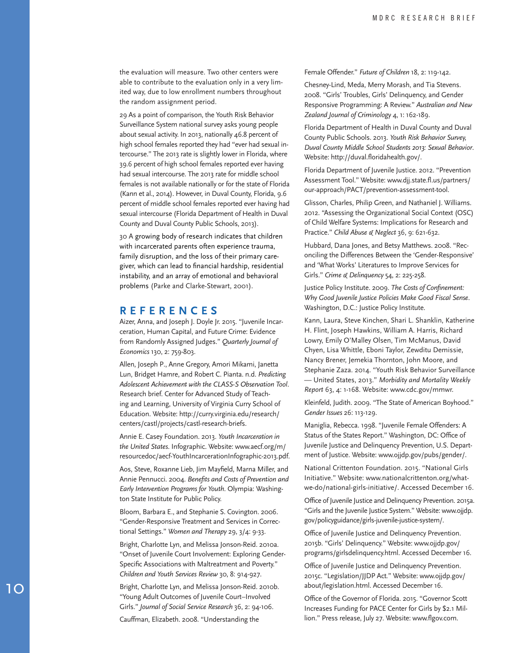the evaluation will measure. Two other centers were able to contribute to the evaluation only in a very lim ited way, due to low enrollment numbers throughout the random assignment period.

29 As a point of comparison, the Youth Risk Behavior Surveillance System national survey asks young people about sexual activity. In 2013, nationally 46.8 percent of high school females reported they had "ever had sexual in tercourse." The 2013 rate is slightly lower in Florida, where 39.6 percent of high school females reported ever having had sexual intercourse. The 2013 rate for middle school females is not available nationally or for the state of Florida (Kann et al., 2014). However, in Duval County, Florida, 9.6 percent of middle school females reported ever having had sexual intercourse (Florida Department of Health in Duval County and Duval County Public Schools, 2013).

30 A growing body of research indicates that children with incarcerated parents often experience trauma, family disruption, and the loss of their primary care giver, which can lead to financial hardship, residential instability, and an array of emotional and behavioral problems (Parke and Clarke-Stewart, 2001).

#### **REFERENCES**

Aizer, Anna, and Joseph J. Doyle Jr. 2015. "Juvenile Incar ceration, Human Capital, and Future Crime: Evidence from Randomly Assigned Judges." *Quarterly Journal of Economics* 130, 2: 759-803.

Allen, Joseph P., Anne Gregory, Amori Mikami, Janetta Lun, Bridget Hamre, and Robert C. Pianta. n.d. *Predicting Adolescent Achievement with the CLASS-S Observation Tool*. Research brief. Center for Advanced Study of Teach ing and Learning, University of Virginia Curry School of Education. Website: http://curry.virginia.edu/research/ centers/castl/projects/castl-research-briefs.

Annie E. Casey Foundation. 2013. *Youth Incarceration in the United States*. Infographic. Website: www.aecf.org/m/ resourcedoc/aecf-YouthIncarcerationInfographic-2013.pdf.

Aos, Steve, Roxanne Lieb, Jim Mayfield, Marna Miller, and Annie Pennucci. 2004. *Benefits and Costs of Prevention and Early Intervention Programs for Youth*. Olympia: Washing ton State Institute for Public Policy.

Bloom, Barbara E., and Stephanie S. Covington. 2006. "Gender-Responsive Treatment and Services in Correc tional Settings." *Women and Therapy* 29, 3/4: 9-33.

Bright, Charlotte Lyn, and Melissa Jonson-Reid. 2010a. "Onset of Juvenile Court Involvement: Exploring Gender-Specific Associations with Maltreatment and Poverty." *Children and Youth Services Review* 30, 8: 914-927.

Bright, Charlotte Lyn, and Melissa Jonson-Reid. 2010b. "Young Adult Outcomes of Juvenile Court–Involved Girls." *Journal of Social Service Research* 36, 2: 94-106.

Cauffman, Elizabeth. 2008. "Understanding the

Female Offender." *Future of Children* 18, 2: 119-142.

Chesney-Lind, Meda, Merry Morash, and Tia Stevens. 2008. "Girls' Troubles, Girls' Delinquency, and Gender Responsive Programming: A Review." *Australian and New Zealand Journal of Criminology* 4, 1: 162-189.

Florida Department of Health in Duval County and Duval County Public Schools. 2013. *Youth Risk Behavior Survey, Duval County Middle School Students 2013: Sexual Behavior*. Website: http://duval.floridahealth.gov/.

Florida Department of Juvenile Justice. 2012. "Prevention Assessment Tool." Website: www.djj.state.fl.us/partners/ our-approach/PACT/prevention-assessment-tool.

Glisson, Charles, Philip Green, and Nathaniel J. Williams. 2012. "Assessing the Organizational Social Context (OSC) of Child Welfare Systems: Implications for Research and Practice." *Child Abuse & Neglect* 36, 9: 621-632.

Hubbard, Dana Jones, and Betsy Matthews. 2008. "Rec onciling the Differences Between the 'Gender-Responsive' and 'What Works' Literatures to Improve Services for Girls." *Crime & Delinquency* 54, 2: 225-258.

Justice Policy Institute. 2009. *The Costs of Confinement: Why Good Juvenile Justice Policies Make Good Fiscal Sense*. Washington, D.C.: Justice Policy Institute.

Kann, Laura, Steve Kinchen, Shari L. Shanklin, Katherine H. Flint, Joseph Hawkins, William A. Harris, Richard Lowry, Emily O'Malley Olsen, Tim McManus, David Chyen, Lisa Whittle, Eboni Taylor, Zewditu Demissie, Nancy Brener, Jemekia Thornton, John Moore, and Stephanie Zaza. 2014. "Youth Risk Behavior Surveillance — United States, 2013." *Morbidity and Mortality Weekly Report* 63, 4: 1-168. Website: www.cdc.gov/mmwr.

Kleinfeld, Judith. 2009. "The State of American Boyhood." *Gender Issues* 26: 113-129.

Maniglia, Rebecca. 1998. "Juvenile Female Offenders: A Status of the States Report." Washington, DC: Office of Juvenile Justice and Delinquency Prevention, U.S. Depart ment of Justice. Website: www.ojjdp.gov/pubs/gender/.

National Crittenton Foundation. 2015. "National Girls Initiative." Website: www.nationalcrittenton.org/whatwe-do/national-girls-initiative/. Accessed December 16.

Office of Juvenile Justice and Delinquency Prevention. 2015a. "Girls and the Juvenile Justice System." Website: www.ojjdp. gov/policyguidance/girls-juvenile-justice-system/.

Office of Juvenile Justice and Delinquency Prevention. 2015b. "Girls' Delinquency." Website: www.ojjdp.gov/ programs/girlsdelinquency.html. Accessed December 16.

Office of Juvenile Justice and Delinquency Prevention. 2015c. "Legislation/JJDP Act *.*" Website: www.ojjdp.gov/ about/legislation.html. Accessed December 16.

Office of the Governor of Florida. 2015. "Governor Scott Increases Funding for PACE Center for Girls by \$2.1 Mil lion." Press release, July 27. Website: www.flgov.com.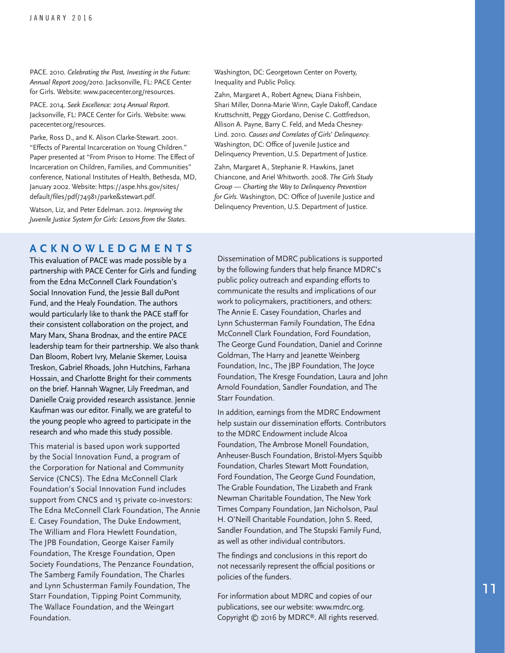PACE. 2010. *Celebrating the Past, Investing in the Future: Annual Report 2009/2010*. Jacksonville, FL: PACE Center for Girls. Website: www.pacecenter.org/resources.

PACE. 2014. *Seek Excellence: 2014 Annual Report*. Jacksonville, FL: PACE Center for Girls. Website: www. pacecenter.org/resources.

Parke, Ross D., and K. Alison Clarke-Stewart. 2001. "Effects of Parental Incarceration on Young Children." Paper presented at "From Prison to Home: The Effect of Incarceration on Children, Families, and Communities" conference, National Institutes of Health, Bethesda, MD, January 2002. Website: https://aspe.hhs.gov/sites/ default/files/pdf/74981/parke&stewart.pdf.

Watson, Liz, and Peter Edelman. 2012. *Improving the Juvenile Justice System for Girls: Lessons from the States*.

#### **ACKNOWLEDGMENTS**

This evaluation of PACE was made possible by a partnership with PACE Center for Girls and funding from the Edna McConnell Clark Foundation's Social Innovation Fund, the Jessie Ball duPont Fund, and the Healy Foundation. The authors would particularly like to thank the PACE staff for their consistent collaboration on the project, and Mary Marx, Shana Brodnax, and the entire PACE leadership team for their partnership. We also thank Dan Bloom, Robert Ivry, Melanie Skemer, Louisa Treskon, Gabriel Rhoads, John Hutchins, Farhana Hossain, and Charlotte Bright for their comments on the brief. Hannah Wagner, Lily Freedman, and Danielle Craig provided research assistance. Jennie Kaufman was our editor. Finally, we are grateful to the young people who agreed to participate in the research and who made this study possible.

This material is based upon work supported by the Social Innovation Fund, a program of the Corporation for National and Community Service (CNCS). The Edna McConnell Clark Foundation's Social Innovation Fund includes support from CNCS and 15 private co-investors: The Edna McConnell Clark Foundation, The Annie E. Casey Foundation, The Duke Endowment, The William and Flora Hewlett Foundation, The JPB Foundation, George Kaiser Family Foundation, The Kresge Foundation, Open Society Foundations, The Penzance Foundation, The Samberg Family Foundation, The Charles and Lynn Schusterman Family Foundation, The Starr Foundation, Tipping Point Community, The Wallace Foundation, and the Weingart Foundation.

Washington, DC: Georgetown Center on Poverty, Inequality and Public Policy.

Zahn, Margaret A., Robert Agnew, Diana Fishbein, Shari Miller, Donna-Marie Winn, Gayle Dakoff, Candace Kruttschnitt, Peggy Giordano, Denise C. Gottfredson, Allison A. Payne, Barry C. Feld, and Meda Chesney-Lind. 2010. *Causes and Correlates of Girls' Delinquency*. Washington, DC: Office of Juvenile Justice and Delinquency Prevention, U.S. Department of Justice.

Zahn, Margaret A., Stephanie R. Hawkins, Janet Chiancone, and Ariel Whitworth. 2008. *The Girls Study Group — Charting the Way to Delinquency Prevention for Girls*. Washington, DC: Office of Juvenile Justice and Delinquency Prevention, U.S. Department of Justice.

Dissemination of MDRC publications is supported by the following funders that help finance MDRC's public policy outreach and expanding efforts to communicate the results and implications of our work to policymakers, practitioners, and others: The Annie E. Casey Foundation, Charles and Lynn Schusterman Family Foundation, The Edna McConnell Clark Foundation, Ford Foundation, The George Gund Foundation, Daniel and Corinne Goldman, The Harry and Jeanette Weinberg Foundation, Inc., The JBP Foundation, The Joyce Foundation, The Kresge Foundation, Laura and John Arnold Foundation, Sandler Foundation, and The Starr Foundation.

In addition, earnings from the MDRC Endowment help sustain our dissemination efforts. Contributors to the MDRC Endowment include Alcoa Foundation, The Ambrose Monell Foundation, Anheuser-Busch Foundation, Bristol-Myers Squibb Foundation, Charles Stewart Mott Foundation, Ford Foundation, The George Gund Foundation, The Grable Foundation, The Lizabeth and Frank Newman Charitable Foundation, The New York Times Company Foundation, Jan Nicholson, Paul H. O'Neill Charitable Foundation, John S. Reed, Sandler Foundation, and The Stupski Family Fund, as well as other individual contributors.

The findings and conclusions in this report do not necessarily represent the official positions or policies of the funders.

For information about MDRC and copies of our publications, see our website: www.mdrc.org. Copyright © 2016 by MDRC®. All rights reserved.